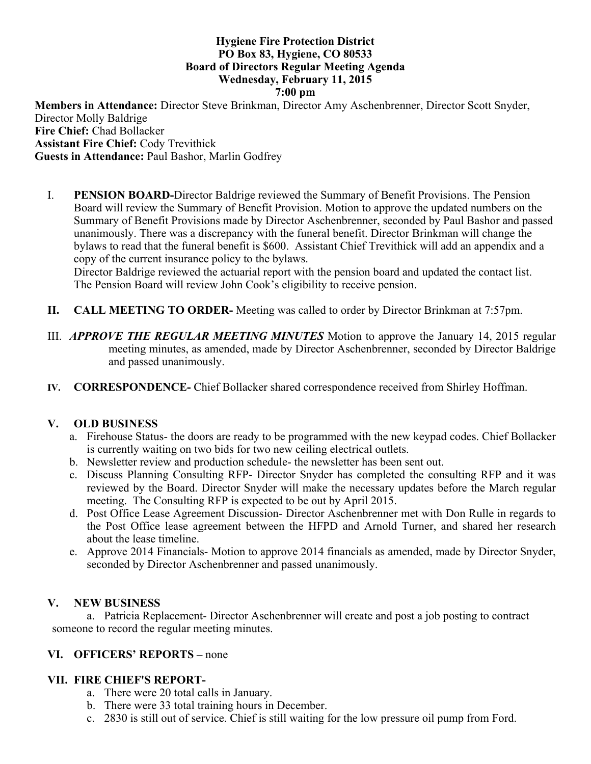#### **Hygiene Fire Protection District PO Box 83, Hygiene, CO 80533 Board of Directors Regular Meeting Agenda Wednesday, February 11, 2015 7:00 pm**

**Members in Attendance:** Director Steve Brinkman, Director Amy Aschenbrenner, Director Scott Snyder, Director Molly Baldrige **Fire Chief:** Chad Bollacker **Assistant Fire Chief:** Cody Trevithick **Guests in Attendance:** Paul Bashor, Marlin Godfrey

I. **PENSION BOARD-**Director Baldrige reviewed the Summary of Benefit Provisions. The Pension Board will review the Summary of Benefit Provision. Motion to approve the updated numbers on the Summary of Benefit Provisions made by Director Aschenbrenner, seconded by Paul Bashor and passed unanimously. There was a discrepancy with the funeral benefit. Director Brinkman will change the bylaws to read that the funeral benefit is \$600. Assistant Chief Trevithick will add an appendix and a copy of the current insurance policy to the bylaws.

Director Baldrige reviewed the actuarial report with the pension board and updated the contact list. The Pension Board will review John Cook's eligibility to receive pension.

- **II. CALL MEETING TO ORDER-** Meeting was called to order by Director Brinkman at 7:57pm.
- III. *APPROVE THE REGULAR MEETING MINUTES* Motion to approve the January 14, 2015 regular meeting minutes, as amended, made by Director Aschenbrenner, seconded by Director Baldrige and passed unanimously.
- **IV. CORRESPONDENCE-** Chief Bollacker shared correspondence received from Shirley Hoffman.

#### **V. OLD BUSINESS**

- a. Firehouse Status- the doors are ready to be programmed with the new keypad codes. Chief Bollacker is currently waiting on two bids for two new ceiling electrical outlets.
- b. Newsletter review and production schedule- the newsletter has been sent out.
- c. Discuss Planning Consulting RFP- Director Snyder has completed the consulting RFP and it was reviewed by the Board. Director Snyder will make the necessary updates before the March regular meeting. The Consulting RFP is expected to be out by April 2015.
- d. Post Office Lease Agreement Discussion- Director Aschenbrenner met with Don Rulle in regards to the Post Office lease agreement between the HFPD and Arnold Turner, and shared her research about the lease timeline.
- e. Approve 2014 Financials- Motion to approve 2014 financials as amended, made by Director Snyder, seconded by Director Aschenbrenner and passed unanimously.

#### **V. NEW BUSINESS**

a. Patricia Replacement- Director Aschenbrenner will create and post a job posting to contract someone to record the regular meeting minutes.

#### **VI. OFFICERS' REPORTS –** none

#### **VII. FIRE CHIEF'S REPORT-**

- a. There were 20 total calls in January.
- b. There were 33 total training hours in December.
- c. 2830 is still out of service. Chief is still waiting for the low pressure oil pump from Ford.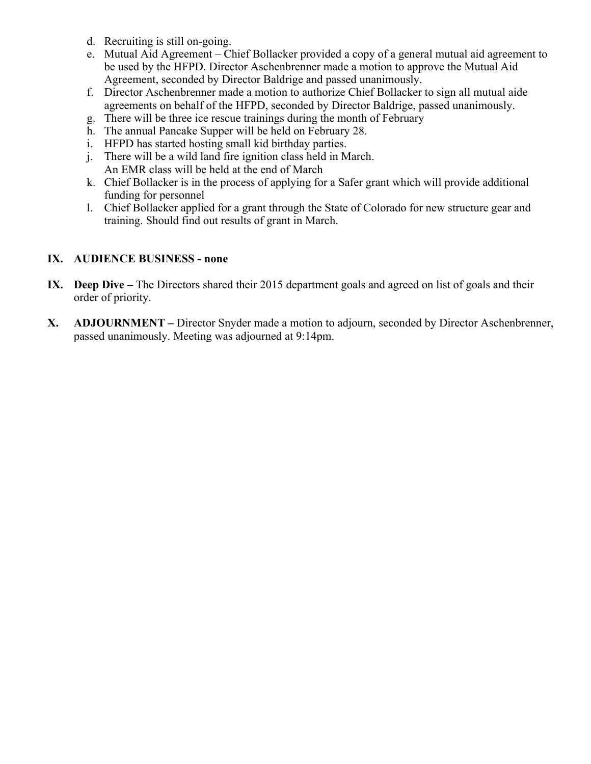- d. Recruiting is still on-going.
- e. Mutual Aid Agreement Chief Bollacker provided a copy of a general mutual aid agreement to be used by the HFPD. Director Aschenbrenner made a motion to approve the Mutual Aid Agreement, seconded by Director Baldrige and passed unanimously.
- f. Director Aschenbrenner made a motion to authorize Chief Bollacker to sign all mutual aide agreements on behalf of the HFPD, seconded by Director Baldrige, passed unanimously.
- g. There will be three ice rescue trainings during the month of February
- h. The annual Pancake Supper will be held on February 28.
- i. HFPD has started hosting small kid birthday parties.
- j. There will be a wild land fire ignition class held in March. An EMR class will be held at the end of March
- k. Chief Bollacker is in the process of applying for a Safer grant which will provide additional funding for personnel
- l. Chief Bollacker applied for a grant through the State of Colorado for new structure gear and training. Should find out results of grant in March.

### **IX. AUDIENCE BUSINESS - none**

- **IX. Deep Dive –** The Directors shared their 2015 department goals and agreed on list of goals and their order of priority.
- **X. ADJOURNMENT –** Director Snyder made a motion to adjourn, seconded by Director Aschenbrenner, passed unanimously. Meeting was adjourned at 9:14pm.